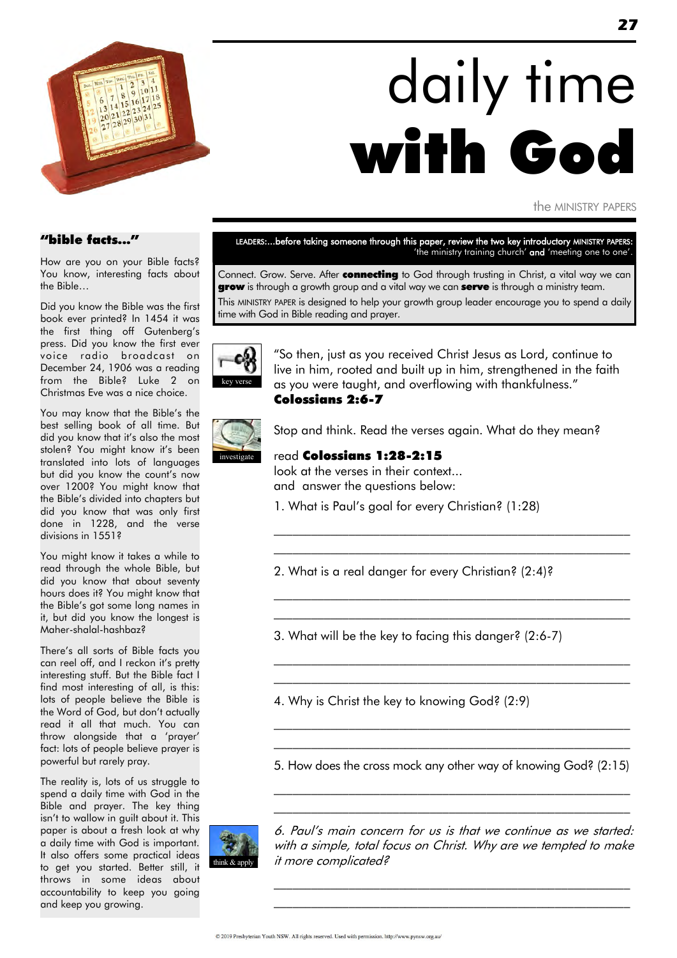

# daily time with God

the MINISTRY PAPERS

#### "bible facts..."

How are you on your Bible facts? You know, interesting facts about the Bible…

Did you know the Bible was the first book ever printed? In 1454 it was the first thing off Gutenberg's press. Did you know the first ever voice radio broadcast on December 24, 1906 was a reading from the Bible? Luke 2 on Christmas Eve was a nice choice.

You may know that the Bible's the best selling book of all time. But did you know that it"s also the most stolen? You might know it's been translated into lots of languages but did you know the count"s now over 1200? You might know that the Bible"s divided into chapters but did you know that was only first done in 1228, and the verse divisions in 1551?

You might know it takes a while to read through the whole Bible, but did you know that about seventy hours does it? You might know that the Bible"s got some long names in it, but did you know the longest is Maher-shalal-hashbaz?

There"s all sorts of Bible facts you can reel off, and I reckon it's pretty interesting stuff. But the Bible fact I find most interesting of all, is this: lots of people believe the Bible is the Word of God, but don"t actually read it all that much. You can throw alongside that a "prayer" fact: lots of people believe prayer is powerful but rarely pray.

The reality is, lots of us struggle to spend a daily time with God in the Bible and prayer. The key thing isn"t to wallow in guilt about it. This paper is about a fresh look at why a daily time with God is important. It also offers some practical ideas to get you started. Better still, it throws in some ideas about accountability to keep you going and keep you growing.

LEADERS:...before taking someone through this paper, review the two key introductory MINISTRY PAPERS: 'the ministry training church' and 'meeting one to one'.

Connect. Grow. Serve. After connecting to God through trusting in Christ, a vital way we can **grow** is through a growth group and a vital way we can **serve** is through a ministry team. This MINISTRY PAPER is designed to help your growth group leader encourage you to spend a daily time with God in Bible reading and prayer.



"So then, just as you received Christ Jesus as Lord, continue to live in him, rooted and built up in him, strengthened in the faith as you were taught, and overflowing with thankfulness." Colossians 2:6-7



Stop and think. Read the verses again. What do they mean?

\_\_\_\_\_\_\_\_\_\_\_\_\_\_\_\_\_\_\_\_\_\_\_\_\_\_\_\_\_\_\_\_\_\_\_\_\_\_\_\_\_\_\_\_\_\_\_\_\_\_\_\_\_\_\_\_\_ \_\_\_\_\_\_\_\_\_\_\_\_\_\_\_\_\_\_\_\_\_\_\_\_\_\_\_\_\_\_\_\_\_\_\_\_\_\_\_\_\_\_\_\_\_\_\_\_\_\_\_\_\_\_\_\_\_

\_\_\_\_\_\_\_\_\_\_\_\_\_\_\_\_\_\_\_\_\_\_\_\_\_\_\_\_\_\_\_\_\_\_\_\_\_\_\_\_\_\_\_\_\_\_\_\_\_\_\_\_\_\_\_\_\_ \_\_\_\_\_\_\_\_\_\_\_\_\_\_\_\_\_\_\_\_\_\_\_\_\_\_\_\_\_\_\_\_\_\_\_\_\_\_\_\_\_\_\_\_\_\_\_\_\_\_\_\_\_\_\_\_\_

\_\_\_\_\_\_\_\_\_\_\_\_\_\_\_\_\_\_\_\_\_\_\_\_\_\_\_\_\_\_\_\_\_\_\_\_\_\_\_\_\_\_\_\_\_\_\_\_\_\_\_\_\_\_\_\_\_ \_\_\_\_\_\_\_\_\_\_\_\_\_\_\_\_\_\_\_\_\_\_\_\_\_\_\_\_\_\_\_\_\_\_\_\_\_\_\_\_\_\_\_\_\_\_\_\_\_\_\_\_\_\_\_\_\_

read Colossians 1:28-2:15 look at the verses in their context... and answer the questions below:

1. What is Paul"s goal for every Christian? (1:28)

2. What is a real danger for every Christian? (2:4)?

3. What will be the key to facing this danger? (2:6-7)

4. Why is Christ the key to knowing God? (2:9)

5. How does the cross mock any other way of knowing God? (2:15)

 $\mathcal{L}_\text{max}$  and the contract of the contract of the contract of the contract of the contract of the contract of \_\_\_\_\_\_\_\_\_\_\_\_\_\_\_\_\_\_\_\_\_\_\_\_\_\_\_\_\_\_\_\_\_\_\_\_\_\_\_\_\_\_\_\_\_\_\_\_\_\_\_\_\_\_\_\_\_



6. Paul"s main concern for us is that we continue as we started: with a simple, total focus on Christ. Why are we tempted to make it more complicated?

\_\_\_\_\_\_\_\_\_\_\_\_\_\_\_\_\_\_\_\_\_\_\_\_\_\_\_\_\_\_\_\_\_\_\_\_\_\_\_\_\_\_\_\_\_\_\_\_\_\_\_\_\_\_\_\_\_ \_\_\_\_\_\_\_\_\_\_\_\_\_\_\_\_\_\_\_\_\_\_\_\_\_\_\_\_\_\_\_\_\_\_\_\_\_\_\_\_\_\_\_\_\_\_\_\_\_\_\_\_\_\_\_\_\_

 $\mathcal{L}_\text{max}$  and the contract of the contract of the contract of the contract of the contract of the contract of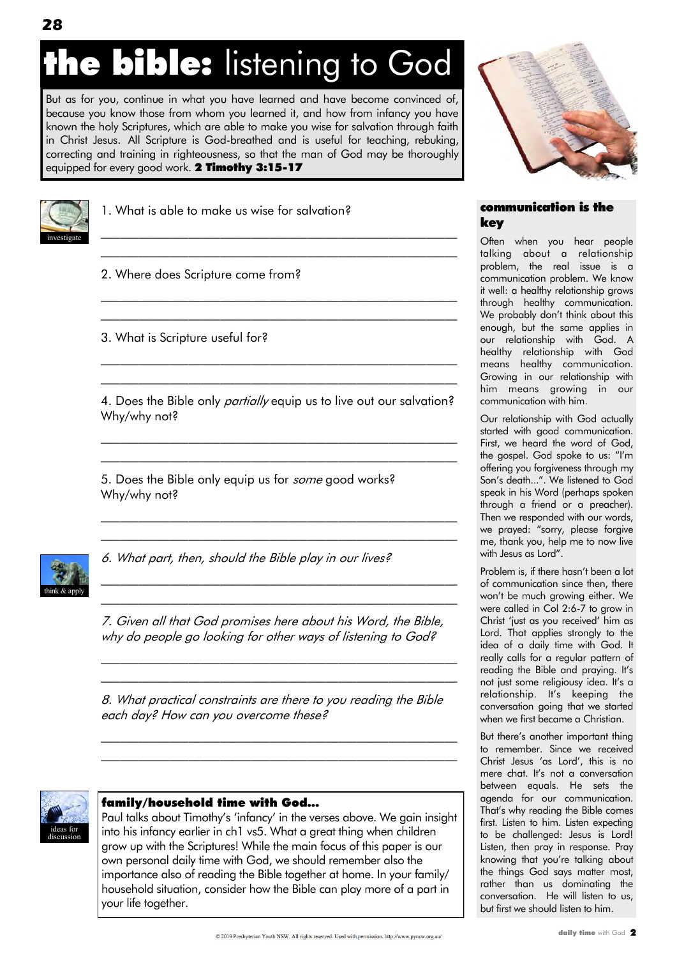## **he bible:** listening to God

But as for you, continue in what you have learned and have become convinced of, because you know those from whom you learned it, and how from infancy you have known the holy Scriptures, which are able to make you wise for salvation through faith in Christ Jesus. All Scripture is God-breathed and is useful for teaching, rebuking, correcting and training in righteousness, so that the man of God may be thoroughly equipped for every good work. 2 Timothy 3:15-17



1. What is able to make us wise for salvation?

2. Where does Scripture come from?

3. What is Scripture useful for?

4. Does the Bible only *partially* equip us to live out our salvation? Why/why not?

\_\_\_\_\_\_\_\_\_\_\_\_\_\_\_\_\_\_\_\_\_\_\_\_\_\_\_\_\_\_\_\_\_\_\_\_\_\_\_\_\_\_\_\_\_\_\_\_\_\_\_\_\_\_\_\_\_ \_\_\_\_\_\_\_\_\_\_\_\_\_\_\_\_\_\_\_\_\_\_\_\_\_\_\_\_\_\_\_\_\_\_\_\_\_\_\_\_\_\_\_\_\_\_\_\_\_\_\_\_\_\_\_\_\_

 $\mathcal{L}_\text{max}$  and the contract of the contract of the contract of the contract of the contract of the contract of  $\mathcal{L}_\text{max}$  and the contract of the contract of the contract of the contract of the contract of the contract of

 $\mathcal{L}_\text{max}$  and the contract of the contract of the contract of the contract of the contract of the contract of  $\mathcal{L}_\text{max}$  and the contract of the contract of the contract of the contract of the contract of the contract of

\_\_\_\_\_\_\_\_\_\_\_\_\_\_\_\_\_\_\_\_\_\_\_\_\_\_\_\_\_\_\_\_\_\_\_\_\_\_\_\_\_\_\_\_\_\_\_\_\_\_\_\_\_\_\_\_\_ \_\_\_\_\_\_\_\_\_\_\_\_\_\_\_\_\_\_\_\_\_\_\_\_\_\_\_\_\_\_\_\_\_\_\_\_\_\_\_\_\_\_\_\_\_\_\_\_\_\_\_\_\_\_\_\_\_

 $\mathcal{L}_\text{max}$  and the contract of the contract of the contract of the contract of the contract of the contract of  $\mathcal{L}_\text{max}$  and the contract of the contract of the contract of the contract of the contract of the contract of

 $\mathcal{L}_\text{max}$  and the contract of the contract of the contract of the contract of the contract of the contract of \_\_\_\_\_\_\_\_\_\_\_\_\_\_\_\_\_\_\_\_\_\_\_\_\_\_\_\_\_\_\_\_\_\_\_\_\_\_\_\_\_\_\_\_\_\_\_\_\_\_\_\_\_\_\_\_\_

5. Does the Bible only equip us for *some* good works? Why/why not?



6. What part, then, should the Bible play in our lives?

7. Given all that God promises here about his Word, the Bible, why do people go looking for other ways of listening to God?

 $\mathcal{L}_\text{max}$  and the contract of the contract of the contract of the contract of the contract of the contract of  $\mathcal{L}_\text{max}$  and the contract of the contract of the contract of the contract of the contract of the contract of

8. What practical constraints are there to you reading the Bible each day? How can you overcome these?

\_\_\_\_\_\_\_\_\_\_\_\_\_\_\_\_\_\_\_\_\_\_\_\_\_\_\_\_\_\_\_\_\_\_\_\_\_\_\_\_\_\_\_\_\_\_\_\_\_\_\_\_\_\_\_\_\_  $\mathcal{L}_\text{max}$  and the contract of the contract of the contract of the contract of the contract of the contract of



#### family/household time with God…

Paul talks about Timothy"s "infancy" in the verses above. We gain insight into his infancy earlier in ch1 vs5. What a great thing when children grow up with the Scriptures! While the main focus of this paper is our own personal daily time with God, we should remember also the importance also of reading the Bible together at home. In your family/ household situation, consider how the Bible can play more of a part in your life together.



#### communication is the key

Often when you hear people talking about a relationship problem, the real issue is a communication problem. We know it well: a healthy relationship grows through healthy communication. We probably don't think about this enough, but the same applies in our relationship with God. A healthy relationship with God means healthy communication. Growing in our relationship with him means growing in our communication with him.

Our relationship with God actually started with good communication. First, we heard the word of God, the gospel. God spoke to us: "I"m offering you forgiveness through my Son"s death...". We listened to God speak in his Word (perhaps spoken through a friend or a preacher). Then we responded with our words, we prayed: "sorry, please forgive me, thank you, help me to now live with Jesus as Lord".

Problem is, if there hasn't been a lot of communication since then, there won"t be much growing either. We were called in Col 2:6-7 to grow in Christ "just as you received" him as Lord. That applies strongly to the idea of a daily time with God. It really calls for a regular pattern of reading the Bible and praying. It's not just some religiousy idea. It's a relationship. It's keeping the conversation going that we started when we first became a Christian.

But there"s another important thing to remember. Since we received Christ Jesus "as Lord", this is no mere chat. It's not a conversation between equals. He sets the agenda for our communication. That"s why reading the Bible comes first. Listen to him. Listen expecting to be challenged: Jesus is Lord! Listen, then pray in response. Pray knowing that you"re talking about the things God says matter most, rather than us dominating the conversation. He will listen to us, but first we should listen to him.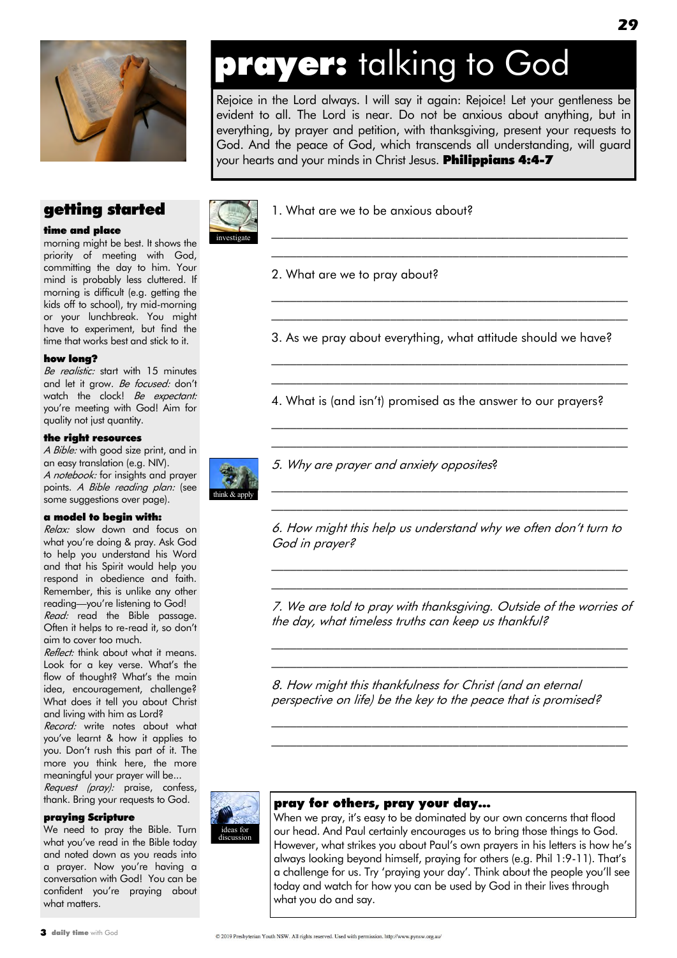

#### getting started

#### time and place

morning might be best. It shows the priority of meeting with God, committing the day to him. Your mind is probably less cluttered. If morning is difficult (e.g. getting the kids off to school), try mid-morning or your lunchbreak. You might have to experiment, but find the time that works best and stick to it.

#### how long?

Be realistic: start with 15 minutes and let it grow. Be focused: don't watch the clock! Be expectant: you"re meeting with God! Aim for quality not just quantity.

#### the right resources

A Bible: with good size print, and in an easy translation (e.g. NIV). A notebook: for insights and prayer points. A Bible reading plan: (see some suggestions over page).

#### a model to begin with:

Relax: slow down and focus on what you"re doing & pray. Ask God to help you understand his Word and that his Spirit would help you respond in obedience and faith. Remember, this is unlike any other reading—you"re listening to God! Read: read the Bible passage. Often it helps to re-read it, so don"t aim to cover too much.

Reflect: think about what it means. Look for a key verse. What"s the flow of thought? What's the main idea, encouragement, challenge? What does it tell you about Christ and living with him as Lord?

Record: write notes about what you"ve learnt & how it applies to you. Don"t rush this part of it. The more you think here, the more meaningful your prayer will be...

Request (pray): praise, confess, thank. Bring your requests to God.

#### praying Scripture

We need to pray the Bible. Turn what you"ve read in the Bible today and noted down as you reads into a prayer. Now you're having a conversation with God! You can be confident you"re praying about what matters.



Rejoice in the Lord always. I will say it again: Rejoice! Let your gentleness be evident to all. The Lord is near. Do not be anxious about anything, but in everything, by prayer and petition, with thanksgiving, present your requests to God. And the peace of God, which transcends all understanding, will guard your hearts and your minds in Christ Jesus. Philippians 4:4-7



1. What are we to be anxious about?

2. What are we to pray about?

3. As we pray about everything, what attitude should we have?

\_\_\_\_\_\_\_\_\_\_\_\_\_\_\_\_\_\_\_\_\_\_\_\_\_\_\_\_\_\_\_\_\_\_\_\_\_\_\_\_\_\_\_\_\_\_\_\_\_\_\_\_\_\_\_\_\_ \_\_\_\_\_\_\_\_\_\_\_\_\_\_\_\_\_\_\_\_\_\_\_\_\_\_\_\_\_\_\_\_\_\_\_\_\_\_\_\_\_\_\_\_\_\_\_\_\_\_\_\_\_\_\_\_\_

 $\mathcal{L}_\text{max}$  and the contract of the contract of the contract of the contract of the contract of the contract of  $\mathcal{L}_\text{max}$  and the contract of the contract of the contract of the contract of the contract of the contract of

 $\mathcal{L}_\text{max}$  and the contract of the contract of the contract of the contract of the contract of the contract of  $\mathcal{L}_\text{max}$  and the contract of the contract of the contract of the contract of the contract of the contract of

 $\mathcal{L}_\text{max}$  and the contract of the contract of the contract of the contract of the contract of the contract of \_\_\_\_\_\_\_\_\_\_\_\_\_\_\_\_\_\_\_\_\_\_\_\_\_\_\_\_\_\_\_\_\_\_\_\_\_\_\_\_\_\_\_\_\_\_\_\_\_\_\_\_\_\_\_\_\_

4. What is (and isn"t) promised as the answer to our prayers?



5. Why are prayer and anxiety opposites?

6. How might this help us understand why we often don"t turn to God in prayer?

 $\mathcal{L}_\text{max}$  and the contract of the contract of the contract of the contract of the contract of the contract of  $\mathcal{L}_\text{max}$  and the contract of the contract of the contract of the contract of the contract of the contract of

 $\mathcal{L}_\text{max}$  and the contract of the contract of the contract of the contract of the contract of the contract of  $\mathcal{L}_\text{max}$  and the contract of the contract of the contract of the contract of the contract of the contract of

7. We are told to pray with thanksgiving. Outside of the worries of the day, what timeless truths can keep us thankful?

\_\_\_\_\_\_\_\_\_\_\_\_\_\_\_\_\_\_\_\_\_\_\_\_\_\_\_\_\_\_\_\_\_\_\_\_\_\_\_\_\_\_\_\_\_\_\_\_\_\_\_\_\_\_\_\_\_ \_\_\_\_\_\_\_\_\_\_\_\_\_\_\_\_\_\_\_\_\_\_\_\_\_\_\_\_\_\_\_\_\_\_\_\_\_\_\_\_\_\_\_\_\_\_\_\_\_\_\_\_\_\_\_\_\_

\_\_\_\_\_\_\_\_\_\_\_\_\_\_\_\_\_\_\_\_\_\_\_\_\_\_\_\_\_\_\_\_\_\_\_\_\_\_\_\_\_\_\_\_\_\_\_\_\_\_\_\_\_\_\_\_\_ \_\_\_\_\_\_\_\_\_\_\_\_\_\_\_\_\_\_\_\_\_\_\_\_\_\_\_\_\_\_\_\_\_\_\_\_\_\_\_\_\_\_\_\_\_\_\_\_\_\_\_\_\_\_\_\_\_

8. How might this thankfulness for Christ (and an eternal perspective on life) be the key to the peace that is promised?

### pray for others, pray your day…

ideas for discussion

When we pray, it"s easy to be dominated by our own concerns that flood our head. And Paul certainly encourages us to bring those things to God. However, what strikes you about Paul's own prayers in his letters is how he's always looking beyond himself, praying for others (e.g. Phil 1:9-11). That"s a challenge for us. Try 'praying your day'. Think about the people you'll see today and watch for how you can be used by God in their lives through what you do and say.